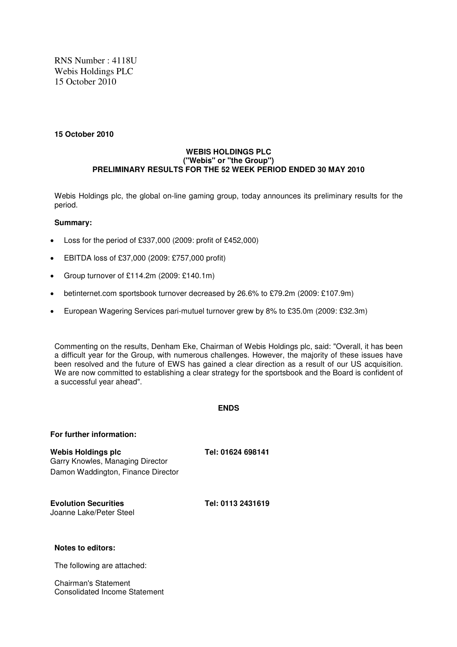RNS Number : 4118U Webis Holdings PLC 15 October 2010

## **15 October 2010**

# **WEBIS HOLDINGS PLC ("Webis" or "the Group") PRELIMINARY RESULTS FOR THE 52 WEEK PERIOD ENDED 30 MAY 2010**

Webis Holdings plc, the global on-line gaming group, today announces its preliminary results for the period.

# **Summary:**

- Loss for the period of  $£337,000$  (2009: profit of  $£452,000$ )
- EBITDA loss of £37,000 (2009: £757,000 profit)
- Group turnover of £114.2m (2009: £140.1m)
- betinternet.com sportsbook turnover decreased by 26.6% to £79.2m (2009: £107.9m)
- European Wagering Services pari-mutuel turnover grew by 8% to £35.0m (2009: £32.3m)

Commenting on the results, Denham Eke, Chairman of Webis Holdings plc, said: "Overall, it has been a difficult year for the Group, with numerous challenges. However, the majority of these issues have been resolved and the future of EWS has gained a clear direction as a result of our US acquisition. We are now committed to establishing a clear strategy for the sportsbook and the Board is confident of a successful year ahead".

# **ENDS**

| For further information:                                                                     |                   |
|----------------------------------------------------------------------------------------------|-------------------|
| Webis Holdings plc<br>Garry Knowles, Managing Director<br>Damon Waddington, Finance Director | Tel: 01624 698141 |
| <b>Evolution Securities</b><br>Joanne Lake/Peter Steel                                       | Tel: 0113 2431619 |
| Notes to editors:                                                                            |                   |
| The following are attached:                                                                  |                   |
|                                                                                              |                   |

Chairman's Statement Consolidated Income Statement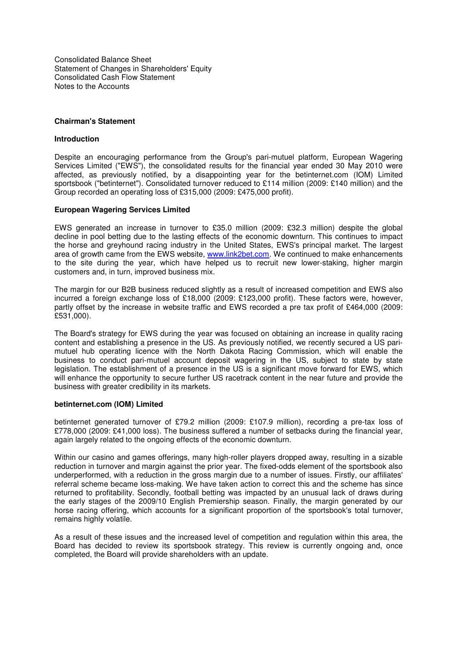Consolidated Balance Sheet Statement of Changes in Shareholders' Equity Consolidated Cash Flow Statement Notes to the Accounts

# **Chairman's Statement**

## **Introduction**

Despite an encouraging performance from the Group's pari-mutuel platform, European Wagering Services Limited ("EWS"), the consolidated results for the financial year ended 30 May 2010 were affected, as previously notified, by a disappointing year for the betinternet.com (IOM) Limited sportsbook ("betinternet"). Consolidated turnover reduced to £114 million (2009: £140 million) and the Group recorded an operating loss of £315,000 (2009: £475,000 profit).

## **European Wagering Services Limited**

EWS generated an increase in turnover to £35.0 million (2009: £32.3 million) despite the global decline in pool betting due to the lasting effects of the economic downturn. This continues to impact the horse and greyhound racing industry in the United States, EWS's principal market. The largest area of growth came from the EWS website, www.link2bet.com. We continued to make enhancements to the site during the year, which have helped us to recruit new lower-staking, higher margin customers and, in turn, improved business mix.

The margin for our B2B business reduced slightly as a result of increased competition and EWS also incurred a foreign exchange loss of £18,000 (2009: £123,000 profit). These factors were, however, partly offset by the increase in website traffic and EWS recorded a pre tax profit of £464,000 (2009:  $E531,000$ ).

The Board's strategy for EWS during the year was focused on obtaining an increase in quality racing content and establishing a presence in the US. As previously notified, we recently secured a US parimutuel hub operating licence with the North Dakota Racing Commission, which will enable the business to conduct pari-mutuel account deposit wagering in the US, subject to state by state legislation. The establishment of a presence in the US is a significant move forward for EWS, which will enhance the opportunity to secure further US racetrack content in the near future and provide the business with greater credibility in its markets.

## **betinternet.com (IOM) Limited**

betinternet generated turnover of £79.2 million (2009: £107.9 million), recording a pre-tax loss of £778,000 (2009: £41,000 loss). The business suffered a number of setbacks during the financial year, again largely related to the ongoing effects of the economic downturn.

Within our casino and games offerings, many high-roller players dropped away, resulting in a sizable reduction in turnover and margin against the prior year. The fixed-odds element of the sportsbook also underperformed, with a reduction in the gross margin due to a number of issues. Firstly, our affiliates' referral scheme became loss-making. We have taken action to correct this and the scheme has since returned to profitability. Secondly, football betting was impacted by an unusual lack of draws during the early stages of the 2009/10 English Premiership season. Finally, the margin generated by our horse racing offering, which accounts for a significant proportion of the sportsbook's total turnover, remains highly volatile.

As a result of these issues and the increased level of competition and regulation within this area, the Board has decided to review its sportsbook strategy. This review is currently ongoing and, once completed, the Board will provide shareholders with an update.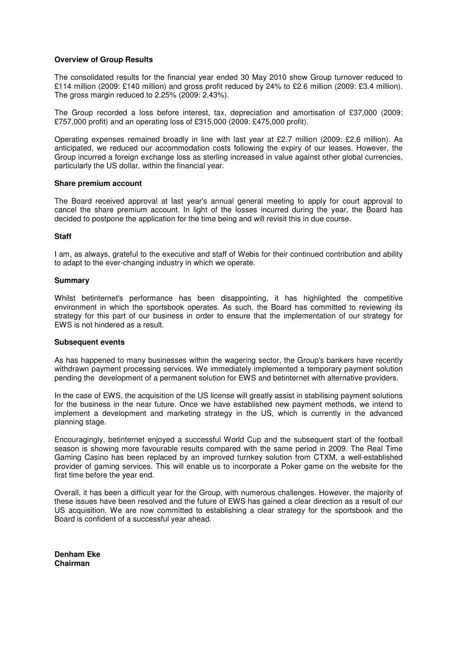# **Overview of Group Results**

The consolidated results for the financial year ended 30 May 2010 show Group turnover reduced to £114 million (2009: £140 million) and gross profit reduced by 24% to £2.6 million (2009: £3.4 million). The gross margin reduced to 2.25% (2009: 2.43%).

The Group recorded a loss before interest, tax, depreciation and amortisation of £37,000 (2009: £757,000 profit) and an operating loss of £315,000 (2009: £475,000 profit).

Operating expenses remained broadly in line with last year at £2.7 million (2009: £2.6 million). As anticipated, we reduced our accommodation costs following the expiry of our leases. However, the Group incurred a foreign exchange loss as sterling increased in value against other global currencies, particularly the US dollar, within the financial year.

## **Share premium account**

The Board received approval at last year's annual general meeting to apply for court approval to cancel the share premium account. In light of the losses incurred during the year, the Board has decided to postpone the application for the time being and will revisit this in due course.

## **Staff**

I am, as always, grateful to the executive and staff of Webis for their continued contribution and ability to adapt to the ever-changing industry in which we operate.

#### **Summary**

Whilst betinternet's performance has been disappointing, it has highlighted the competitive environment in which the sportsbook operates. As such, the Board has committed to reviewing its strategy for this part of our business in order to ensure that the implementation of our strategy for EWS is not hindered as a result.

## **Subsequent events**

As has happened to many businesses within the wagering sector, the Group's bankers have recently withdrawn payment processing services. We immediately implemented a temporary payment solution pending the development of a permanent solution for EWS and betinternet with alternative providers.

In the case of EWS, the acquisition of the US license will greatly assist in stabilising payment solutions for the business in the near future. Once we have established new payment methods, we intend to implement a development and marketing strategy in the US, which is currently in the advanced planning stage.

Encouragingly, betinternet enjoyed a successful World Cup and the subsequent start of the football season is showing more favourable results compared with the same period in 2009. The Real Time Gaming Casino has been replaced by an improved turnkey solution from CTXM, a well-established provider of gaming services. This will enable us to incorporate a Poker game on the website for the first time before the year end.

Overall, it has been a difficult year for the Group, with numerous challenges. However, the majority of these issues have been resolved and the future of EWS has gained a clear direction as a result of our US acquisition. We are now committed to establishing a clear strategy for the sportsbook and the Board is confident of a successful year ahead.

**Denham Eke Chairman**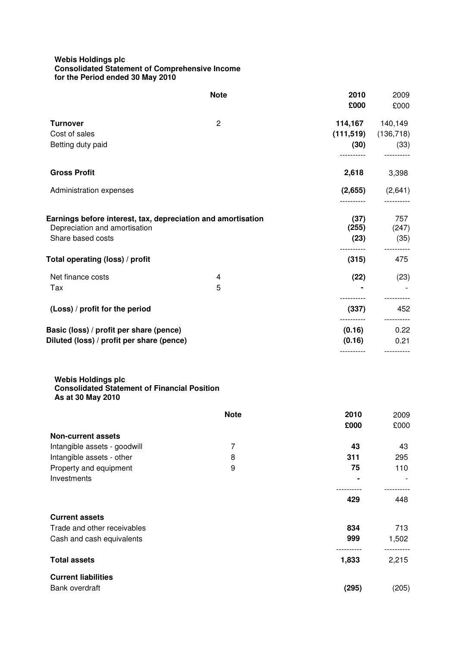# **Webis Holdings plc Consolidated Statement of Comprehensive Income for the Period ended 30 May 2010**

|                                                                                                                    | <b>Note</b> | 2010<br>£000                  | 2009<br>£000                  |
|--------------------------------------------------------------------------------------------------------------------|-------------|-------------------------------|-------------------------------|
| <b>Turnover</b><br>Cost of sales<br>Betting duty paid                                                              | 2           | 114,167<br>(111, 519)<br>(30) | 140,149<br>(136, 718)<br>(33) |
| <b>Gross Profit</b>                                                                                                |             | 2,618                         | 3,398                         |
| Administration expenses                                                                                            |             | (2,655)                       | (2,641)                       |
| Earnings before interest, tax, depreciation and amortisation<br>Depreciation and amortisation<br>Share based costs |             | (37)<br>(255)<br>(23)         | 757<br>(247)<br>(35)          |
| Total operating (loss) / profit                                                                                    |             | (315)                         | 475                           |
| Net finance costs<br>Tax                                                                                           | 4<br>5      | (22)                          | (23)                          |
| (Loss) / profit for the period                                                                                     |             | (337)                         | 452                           |
| Basic (loss) / profit per share (pence)<br>Diluted (loss) / profit per share (pence)                               |             | (0.16)<br>(0.16)              | 0.22<br>0.21                  |
|                                                                                                                    |             |                               |                               |

#### **Webis Holdings plc Consolidated Statement of Financial Position As at 30 May 2010**

|                              | <b>Note</b> | 2010  | 2009  |
|------------------------------|-------------|-------|-------|
|                              |             | £000  | £000  |
| <b>Non-current assets</b>    |             |       |       |
| Intangible assets - goodwill | 7           | 43    | 43    |
| Intangible assets - other    | 8           | 311   | 295   |
| Property and equipment       | 9           | 75    | 110   |
| Investments                  |             |       |       |
|                              |             | 429   | 448   |
| <b>Current assets</b>        |             |       |       |
| Trade and other receivables  |             | 834   | 713   |
| Cash and cash equivalents    |             | 999   | 1,502 |
| <b>Total assets</b>          |             | 1,833 | 2,215 |
| <b>Current liabilities</b>   |             |       |       |
| Bank overdraft               |             | (295) | (205) |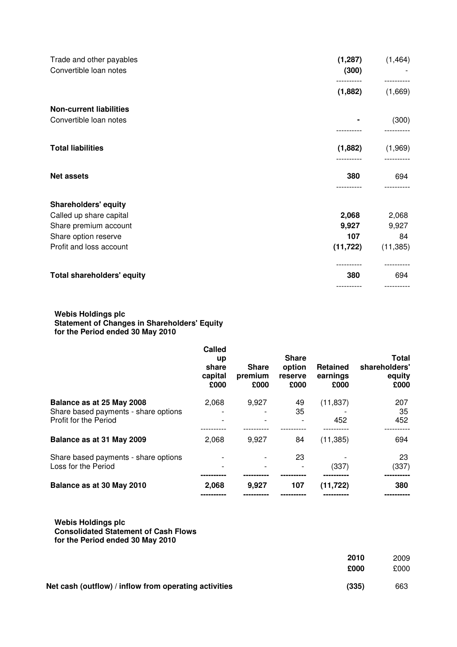| (1, 287)<br>Trade and other payables<br>Convertible loan notes<br>(300) | (1, 464)  |
|-------------------------------------------------------------------------|-----------|
| (1,882)                                                                 | (1,669)   |
| <b>Non-current liabilities</b>                                          |           |
| Convertible loan notes                                                  | (300)     |
| <b>Total liabilities</b><br>(1,882)                                     | (1,969)   |
| <b>Net assets</b><br>380                                                | 694       |
| <b>Shareholders' equity</b>                                             |           |
| 2,068<br>Called up share capital                                        | 2,068     |
| 9,927<br>Share premium account                                          | 9,927     |
| 107<br>Share option reserve                                             | 84        |
| (11, 722)<br>Profit and loss account                                    | (11, 385) |
|                                                                         |           |
| <b>Total shareholders' equity</b><br>380                                | 694       |

### **Webis Holdings plc Statement of Changes in Shareholders' Equity for the Period ended 30 May 2010**

|                                                                   | Called<br><b>up</b><br>share<br>capital<br>£000 | <b>Share</b><br>premium<br>£000 | <b>Share</b><br>option<br>reserve<br>£000 | <b>Retained</b><br>earnings<br>£000 | <b>Total</b><br>shareholders'<br>equity<br>£000 |
|-------------------------------------------------------------------|-------------------------------------------------|---------------------------------|-------------------------------------------|-------------------------------------|-------------------------------------------------|
| Balance as at 25 May 2008<br>Share based payments - share options | 2,068                                           | 9.927                           | 49<br>35                                  | (11, 837)                           | 207<br>35                                       |
| Profit for the Period                                             |                                                 |                                 |                                           | 452                                 | 452                                             |
| Balance as at 31 May 2009                                         | 2,068                                           | 9.927                           | 84                                        | (11, 385)                           | 694                                             |
| Share based payments - share options<br>Loss for the Period       |                                                 |                                 | 23                                        | (337)                               | 23<br>(337)                                     |
| Balance as at 30 May 2010                                         | 2,068                                           | 9,927                           | 107                                       | (11, 722)                           | 380                                             |

**Webis Holdings plc Consolidated Statement of Cash Flows for the Period ended 30 May 2010**

|                                                       | 2010<br>£000 | 2009<br>£000 |
|-------------------------------------------------------|--------------|--------------|
| Net cash (outflow) / inflow from operating activities | (335)        | 663          |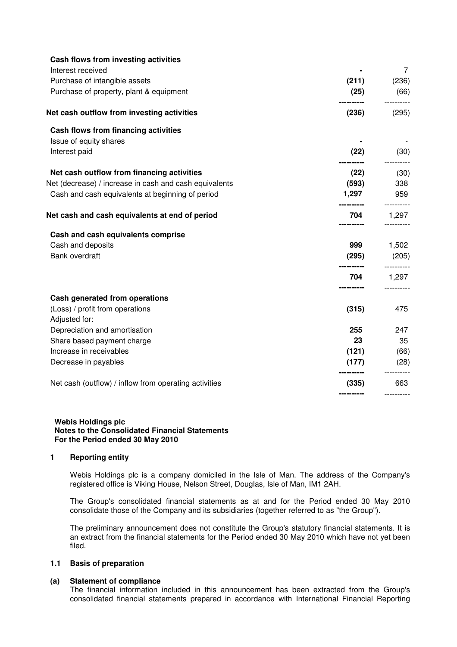| Cash flows from investing activities                   |                     |                     |
|--------------------------------------------------------|---------------------|---------------------|
| Interest received                                      |                     | 7                   |
| Purchase of intangible assets                          | (211)               | (236)               |
| Purchase of property, plant & equipment                | (25)<br>----------- | (66)                |
| Net cash outflow from investing activities             | (236)               | (295)               |
| Cash flows from financing activities                   |                     |                     |
| Issue of equity shares                                 |                     |                     |
| Interest paid                                          | (22)                | (30)                |
| Net cash outflow from financing activities             | (22)                | (30)                |
| Net (decrease) / increase in cash and cash equivalents | (593)               | 338                 |
| Cash and cash equivalents at beginning of period       | 1,297               | 959                 |
| Net cash and cash equivalents at end of period         | 704                 | ----------<br>1,297 |
| Cash and cash equivalents comprise                     |                     |                     |
| Cash and deposits                                      | 999                 | 1,502               |
| Bank overdraft                                         | (295)               | (205)               |
|                                                        | 704                 | 1,297               |
| Cash generated from operations                         |                     |                     |
| (Loss) / profit from operations<br>Adjusted for:       | (315)               | 475                 |
| Depreciation and amortisation                          | 255                 | 247                 |
| Share based payment charge                             | 23                  | 35                  |
| Increase in receivables                                | (121)               | (66)                |
| Decrease in payables                                   | (177)               | (28)                |
| Net cash (outflow) / inflow from operating activities  | (335)               | 663                 |
|                                                        |                     |                     |

#### **Webis Holdings plc Notes to the Consolidated Financial Statements For the Period ended 30 May 2010**

## **1 Reporting entity**

Webis Holdings plc is a company domiciled in the Isle of Man. The address of the Company's registered office is Viking House, Nelson Street, Douglas, Isle of Man, IM1 2AH.

The Group's consolidated financial statements as at and for the Period ended 30 May 2010 consolidate those of the Company and its subsidiaries (together referred to as "the Group").

The preliminary announcement does not constitute the Group's statutory financial statements. It is an extract from the financial statements for the Period ended 30 May 2010 which have not yet been filed.

## **1.1 Basis of preparation**

## **(a) Statement of compliance**

The financial information included in this announcement has been extracted from the Group's consolidated financial statements prepared in accordance with International Financial Reporting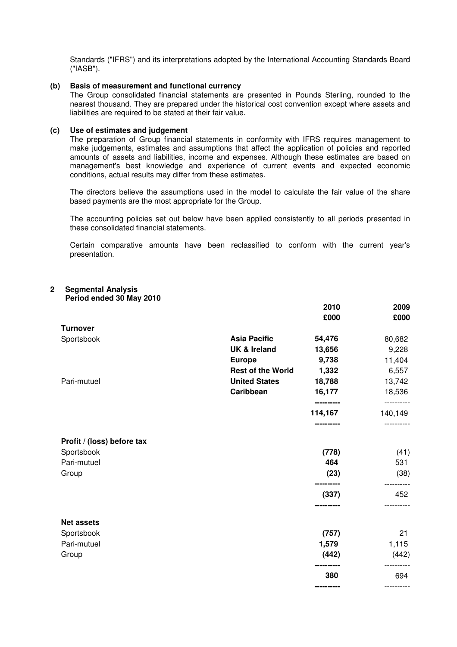Standards ("IFRS") and its interpretations adopted by the International Accounting Standards Board ("IASB").

## **(b) Basis of measurement and functional currency**

The Group consolidated financial statements are presented in Pounds Sterling, rounded to the nearest thousand. They are prepared under the historical cost convention except where assets and liabilities are required to be stated at their fair value.

# **(c) Use of estimates and judgement**

The preparation of Group financial statements in conformity with IFRS requires management to make judgements, estimates and assumptions that affect the application of policies and reported amounts of assets and liabilities, income and expenses. Although these estimates are based on management's best knowledge and experience of current events and expected economic conditions, actual results may differ from these estimates.

The directors believe the assumptions used in the model to calculate the fair value of the share based payments are the most appropriate for the Group.

The accounting policies set out below have been applied consistently to all periods presented in these consolidated financial statements.

Certain comparative amounts have been reclassified to conform with the current year's presentation.

| 2 | <b>Segmental Analysis</b> |
|---|---------------------------|
|   | Doriad andad 20 May 20    |

| Period ended 30 May 2010   |                          |                       |                       |
|----------------------------|--------------------------|-----------------------|-----------------------|
|                            |                          | 2010<br>£000          | 2009<br>£000          |
| <b>Turnover</b>            |                          |                       |                       |
| Sportsbook                 | <b>Asia Pacific</b>      | 54,476                | 80,682                |
|                            | <b>UK &amp; Ireland</b>  | 13,656                | 9,228                 |
|                            | <b>Europe</b>            | 9,738                 | 11,404                |
|                            | <b>Rest of the World</b> | 1,332                 | 6,557                 |
| Pari-mutuel                | <b>United States</b>     | 18,788                | 13,742                |
|                            | Caribbean                | 16,177                | 18,536                |
|                            |                          | ----------<br>114,167 | ----------<br>140,149 |
|                            |                          |                       |                       |
| Profit / (loss) before tax |                          |                       |                       |
| Sportsbook                 |                          | (778)                 | (41)                  |
| Pari-mutuel                |                          | 464                   | 531                   |
| Group                      |                          | (23)                  | (38)                  |
|                            |                          | (337)                 | 452                   |
|                            |                          | ---------             |                       |
| <b>Net assets</b>          |                          |                       |                       |
| Sportsbook                 |                          | (757)                 | 21                    |
| Pari-mutuel                |                          | 1,579                 | 1,115                 |
| Group                      |                          | (442)                 | (442)                 |
|                            |                          | 380                   | 694                   |
|                            |                          |                       |                       |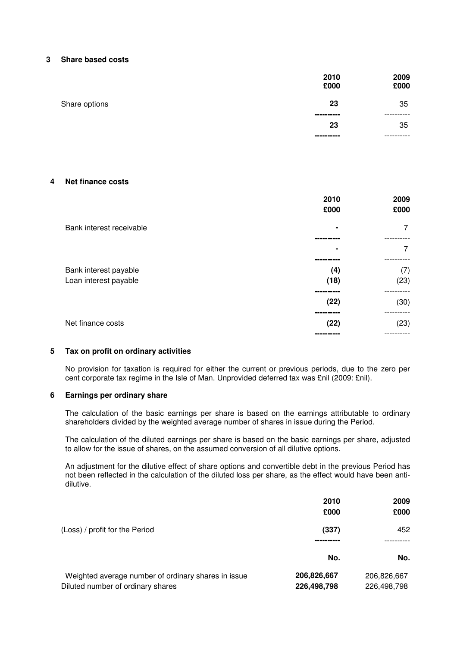# **3 Share based costs**

|               | 2010<br>£000      | 2009<br>£000 |
|---------------|-------------------|--------------|
| Share options | 23<br>----------- | 35<br>.      |
|               | 23                | 35           |
|               | -----------       |              |

# **4 Net finance costs**

|                          | 2010<br>£000 | 2009<br>£000 |
|--------------------------|--------------|--------------|
| Bank interest receivable |              | 7            |
|                          |              |              |
|                          |              | 7            |
|                          |              |              |
| Bank interest payable    | (4)          | (7)          |
| Loan interest payable    | (18)         | (23)         |
|                          |              |              |
|                          | (22)         | (30)         |
|                          |              |              |
| Net finance costs        | (22)         | (23)         |
|                          |              |              |

# **5 Tax on profit on ordinary activities**

No provision for taxation is required for either the current or previous periods, due to the zero per cent corporate tax regime in the Isle of Man. Unprovided deferred tax was £nil (2009: £nil).

## **6 Earnings per ordinary share**

The calculation of the basic earnings per share is based on the earnings attributable to ordinary shareholders divided by the weighted average number of shares in issue during the Period.

The calculation of the diluted earnings per share is based on the basic earnings per share, adjusted to allow for the issue of shares, on the assumed conversion of all dilutive options.

An adjustment for the dilutive effect of share options and convertible debt in the previous Period has not been reflected in the calculation of the diluted loss per share, as the effect would have been antidilutive.

|                                                                                          | 2010<br>£000               | 2009<br>£000               |
|------------------------------------------------------------------------------------------|----------------------------|----------------------------|
| (Loss) / profit for the Period                                                           | (337)                      | 452                        |
|                                                                                          | No.                        | No.                        |
| Weighted average number of ordinary shares in issue<br>Diluted number of ordinary shares | 206,826,667<br>226,498,798 | 206,826,667<br>226,498,798 |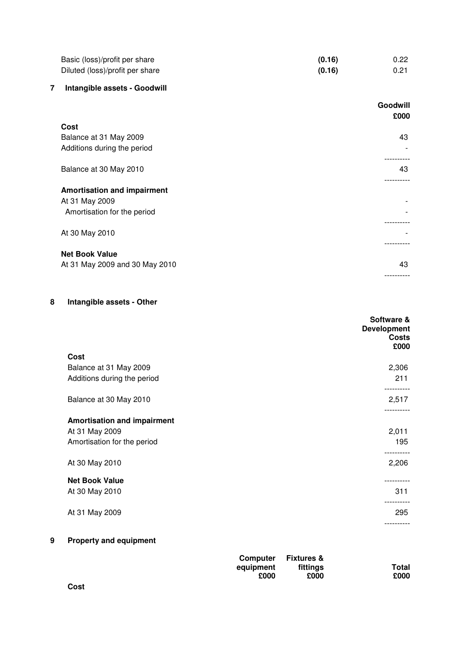| Basic (loss)/profit per share   | (0.16) | 0.22 |
|---------------------------------|--------|------|
| Diluted (loss)/profit per share | (0.16) | 0.21 |

# **7 Intangible assets - Goodwill**

|                                    | Goodwill<br>£000 |
|------------------------------------|------------------|
| Cost                               |                  |
| Balance at 31 May 2009             | 43               |
| Additions during the period        |                  |
|                                    |                  |
| Balance at 30 May 2010             | 43               |
|                                    |                  |
| <b>Amortisation and impairment</b> |                  |
| At 31 May 2009                     |                  |
| Amortisation for the period        |                  |
|                                    |                  |
| At 30 May 2010                     |                  |
|                                    |                  |
| <b>Net Book Value</b>              |                  |
| At 31 May 2009 and 30 May 2010     | 43               |
|                                    |                  |

# **8 Intangible assets - Other**

|                                    | Software &<br><b>Development</b><br><b>Costs</b><br>£000 |
|------------------------------------|----------------------------------------------------------|
| Cost                               |                                                          |
| Balance at 31 May 2009             | 2,306                                                    |
| Additions during the period        | 211                                                      |
| Balance at 30 May 2010             | 2,517                                                    |
| <b>Amortisation and impairment</b> |                                                          |
| At 31 May 2009                     | 2,011                                                    |
| Amortisation for the period        | 195                                                      |
| At 30 May 2010                     | ----------<br>2,206                                      |
| <b>Net Book Value</b>              |                                                          |
| At 30 May 2010                     | 311                                                      |
| At 31 May 2009                     | 295                                                      |
|                                    | ----------                                               |
|                                    |                                                          |

# **9 Property and equipment**

| Computer  | <b>Fixtures &amp;</b> |       |
|-----------|-----------------------|-------|
| equipment | fittings              | Total |
| £000      | £000                  | £000  |

**Cost**